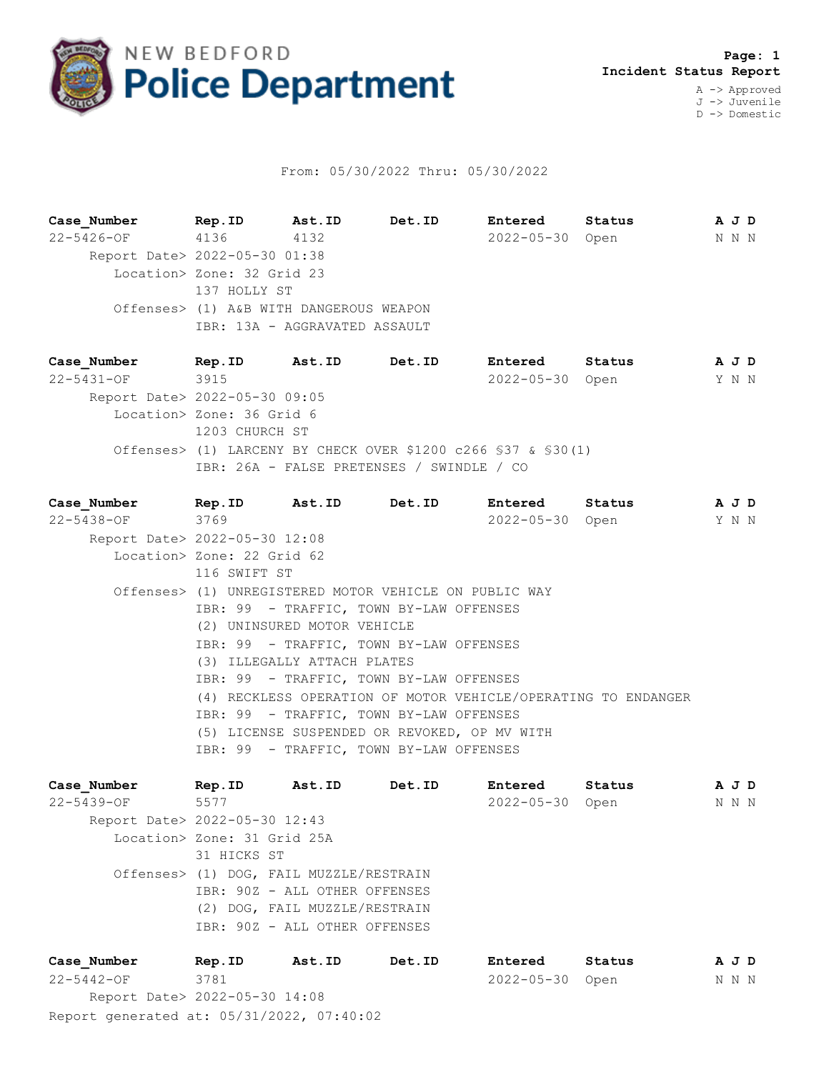

## From: 05/30/2022 Thru: 05/30/2022

**Case\_Number Rep.ID Ast.ID Det.ID Entered Status A J D** 22-5426-OF 4136 4132 2022-05-30 Open N N N Report Date> 2022-05-30 01:38 Location> Zone: 32 Grid 23 137 HOLLY ST Offenses> (1) A&B WITH DANGEROUS WEAPON IBR: 13A - AGGRAVATED ASSAULT

**Case\_Number Rep.ID Ast.ID Det.ID Entered Status A J D** 22-5431-OF 3915 2022-05-30 Open Y N N Report Date> 2022-05-30 09:05 Location> Zone: 36 Grid 6 1203 CHURCH ST Offenses> (1) LARCENY BY CHECK OVER \$1200 c266 §37 & §30(1) IBR: 26A - FALSE PRETENSES / SWINDLE / CO

**Case\_Number Rep.ID Ast.ID Det.ID Entered Status A J D** 22-5438-OF 3769 2022-05-30 Open Y N N Report Date> 2022-05-30 12:08 Location> Zone: 22 Grid 62 116 SWIFT ST Offenses> (1) UNREGISTERED MOTOR VEHICLE ON PUBLIC WAY IBR: 99 - TRAFFIC, TOWN BY-LAW OFFENSES (2) UNINSURED MOTOR VEHICLE IBR: 99 - TRAFFIC, TOWN BY-LAW OFFENSES (3) ILLEGALLY ATTACH PLATES IBR: 99 - TRAFFIC, TOWN BY-LAW OFFENSES (4) RECKLESS OPERATION OF MOTOR VEHICLE/OPERATING TO ENDANGER IBR: 99 - TRAFFIC, TOWN BY-LAW OFFENSES (5) LICENSE SUSPENDED OR REVOKED, OP MV WITH IBR: 99 - TRAFFIC, TOWN BY-LAW OFFENSES

**Case\_Number Rep.ID Ast.ID Det.ID Entered Status A J D** 22-5439-OF 5577 2022-05-30 Open N N N Report Date> 2022-05-30 12:43 Location> Zone: 31 Grid 25A 31 HICKS ST Offenses> (1) DOG, FAIL MUZZLE/RESTRAIN IBR: 90Z - ALL OTHER OFFENSES (2) DOG, FAIL MUZZLE/RESTRAIN IBR: 90Z - ALL OTHER OFFENSES **Case\_Number Rep.ID Ast.ID Det.ID Entered Status A J D**

Report generated at: 05/31/2022, 07:40:02 22-5442-OF 3781 2022-05-30 Open N N N Report Date> 2022-05-30 14:08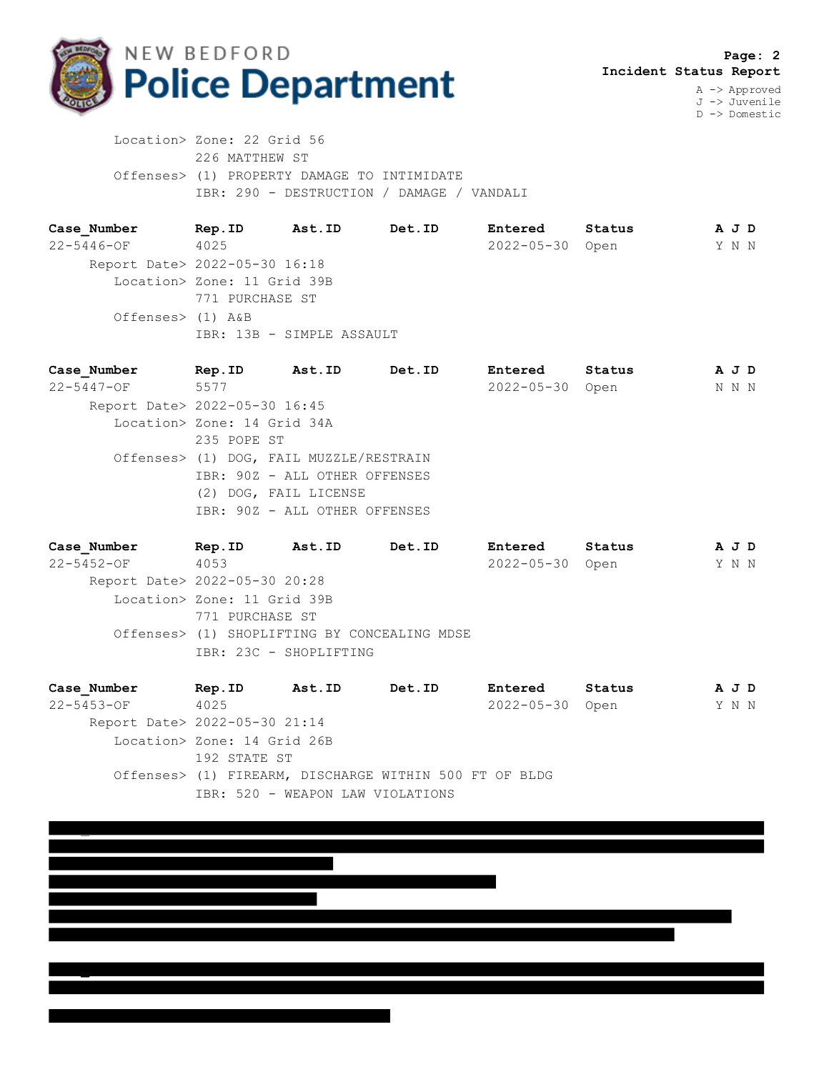

**\_**

D -> Domestic

 Location> Zone: 22 Grid 56 226 MATTHEW ST Offenses> (1) PROPERTY DAMAGE TO INTIMIDATE IBR: 290 - DESTRUCTION / DAMAGE / VANDALI

**Case\_Number Rep.ID Ast.ID Det.ID Entered Status A J D** 22-5446-OF 4025 2022-05-30 Open Y N N Report Date> 2022-05-30 16:18 Location> Zone: 11 Grid 39B 771 PURCHASE ST Offenses> (1) A&B IBR: 13B - SIMPLE ASSAULT

**Case\_Number Rep.ID Ast.ID Det.ID Entered Status A J D** 22-5447-OF 5577 2022-05-30 Open N N N Report Date> 2022-05-30 16:45 Location> Zone: 14 Grid 34A 235 POPE ST Offenses> (1) DOG, FAIL MUZZLE/RESTRAIN IBR: 90Z - ALL OTHER OFFENSES (2) DOG, FAIL LICENSE IBR: 90Z - ALL OTHER OFFENSES

**Case\_Number Rep.ID Ast.ID Det.ID Entered Status A J D** 22-5452-OF 4053 2022-05-30 Open Y N N Report Date> 2022-05-30 20:28 Location> Zone: 11 Grid 39B 771 PURCHASE ST Offenses> (1) SHOPLIFTING BY CONCEALING MDSE IBR: 23C - SHOPLIFTING

**Case\_Number Rep.ID Ast.ID Det.ID Entered Status A J D** 22-5453-OF 4025 2022-05-30 Open Y N N Report Date> 2022-05-30 21:14 Location> Zone: 14 Grid 26B 192 STATE ST Offenses> (1) FIREARM, DISCHARGE WITHIN 500 FT OF BLDG IBR: 520 - WEAPON LAW VIOLATIONS